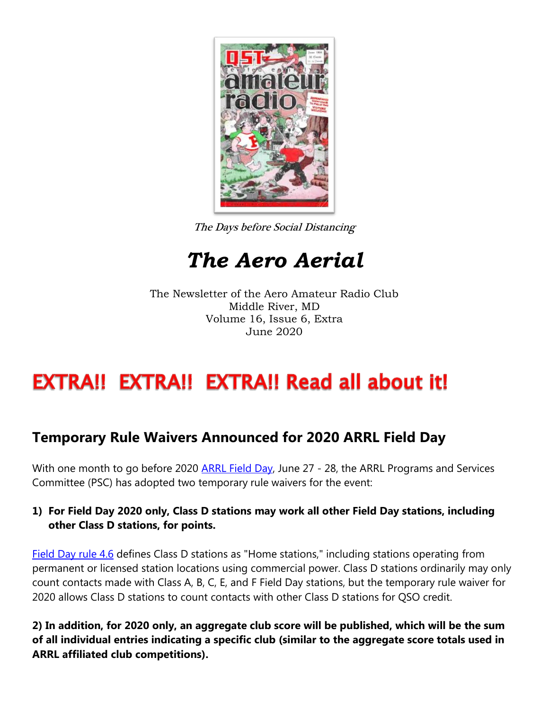

The Days before Social Distancing

## *The Aero Aerial*

The Newsletter of the Aero Amateur Radio Club Middle River, MD Volume 16, Issue 6, Extra June 2020

## EXTRA!! EXTRA!! EXTRA!! Read all about it!

## **Temporary Rule Waivers Announced for 2020 ARRL Field Day**

With one month to go before 2020 [ARRL Field Day,](http://www.arrl.org/fieldday) June 27 - 28, the ARRL Programs and Services Committee (PSC) has adopted two temporary rule waivers for the event:

## **1) For Field Day 2020 only, Class D stations may work all other Field Day stations, including other Class D stations, for points.**

[Field Day rule 4.6](http://www.arrl.org/field-day-rules#classd) defines Class D stations as "Home stations," including stations operating from permanent or licensed station locations using commercial power. Class D stations ordinarily may only count contacts made with Class A, B, C, E, and F Field Day stations, but the temporary rule waiver for 2020 allows Class D stations to count contacts with other Class D stations for QSO credit.

**2) In addition, for 2020 only, an aggregate club score will be published, which will be the sum of all individual entries indicating a specific club (similar to the aggregate score totals used in ARRL affiliated club competitions).**